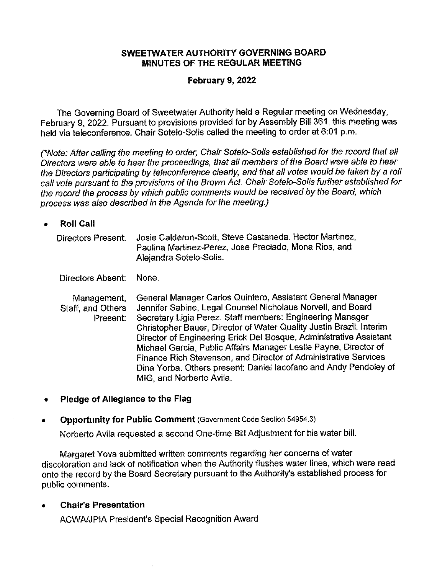#### **SWEETWATER AUTHORITY GOVERNING BOARD MINUTES OF THE REGULAR MEETING**

### **February 9, 2022**

The Governing Board of Sweetwater Authority held a Regular meeting on Wednesday, February 9, 2022. Pursuant to provisions provided for by Assembly Bill 361, this meeting was held via teleconference. Chair Sotelo-Solis called the meeting to order at 6:01 p.m.

(\*Note: After calling the meeting to order, Chair Sotelo-Solis established for the record that all Directors were able to hear the proceedings, that all members of the Board were able to hear the Directors participating by teleconference clearly, and that all votes would be taken by a roll call vote pursuant to the provisions of the Brown Act. Chair Sotelo-Solis further established for the record the process by which public comments would be received by the Board, which process was also described in the Agenda for the meeting.)

• **Roll Call** 

| Directors Present: | Josie Calderon-Scott, Steve Castaneda, Hector Martinez, |
|--------------------|---------------------------------------------------------|
|                    | Paulina Martinez-Perez, Jose Preciado, Mona Rios, and   |
|                    | Alejandra Sotelo-Solis.                                 |

Directors Absent: None.

Management, Staff, and Others Present: General Manager Carlos Quintero, Assistant General Manager Jennifer Sabine, Legal Counsel Nicholaus Norvell, and Board Secretary Ligia Perez. Staff members: Engineering Manager Christopher Bauer, Director of Water Quality Justin Brazil, Interim Director of Engineering Erick Del Bosque, Administrative Assistant Michael Garcia, Public Affairs Manager Leslie Payne, Director of Finance Rich stevenson, and Director of Administrative Services Dina Yorba. Others present: Daniel lacofano and Andy Pendoley of MIG, and Norberto Avila.

• **Pledge of Allegiance to the Flag** 

#### • **Opportunity for Public Comment** (Government Code Section 54954.3)

Norberto Avila requested a second One-time Bill Adjustment for his water bill.

Margaret Yova submitted written comments regarding her concerns of water discoloration and lack of notification when the Authority flushes water lines, which were read onto the record by the Board Secretary pursuant to the Authority's established process for public comments.

• **Chair's Presentation** 

ACWA/JPIA President's Special Recognition Award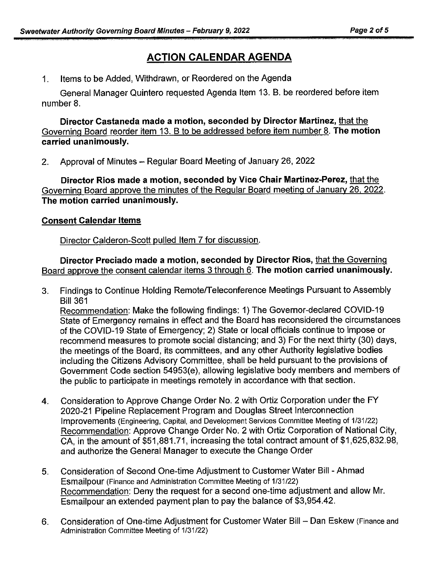# **ACTION CALENDAR AGENDA**

1. Items to be Added, Withdrawn, or Reordered on the Agenda

General Manager Quintero requested Agenda Item 13. B. be reordered before item number 8.

**Director Castaneda made a motion, seconded by Director Martinez,** that the Governing Board reorder item 13. B to be addressed before item number 8. **The motion carried unanimously.** 

2. Approval of Minutes - Regular Board Meeting of January 26, 2022

**Director Rios made a motion, seconded by Vice Chair Martinez-Perez,** that the Governing Board approve the minutes of the Regular Board meeting of January 26. 2022. **The motion carried unanimously.** 

### **Consent Calendar Items**

Director Calderon-Scott pulled Item 7 for discussion.

**Director Preciado made a motion, seconded by Director Rios,** that the Governing Board approve the consent calendar items 3 through 6. **The motion carried unanimously.** 

3. Findings to Continue Holding Remote/Teleconference Meetings Pursuant to Assembly Bill 361

Recommendation: Make the following findings: 1) The Governor-declared COVID-19 State of Emergency remains in effect and the Board has reconsidered the circumstances of the COVID-19 State of Emergency; 2) State or local officials continue to impose or recommend measures to promote social distancing; and 3) For the next thirty (30) days, the meetings of the Board, its committees, and any other Authority legislative bodies including the Citizens Advisory Committee, shall be held pursuant to the provisions of Government Code section 54953(e), allowing legislative body members and members of the public to participate in meetings remotely in accordance with that section.

- 4. Consideration to Approve Change Order No. 2 with Ortiz Corporation under the FY 2020-21 Pipeline Replacement Program and Douglas Street Interconnection Improvements (Engineering, Capital, and Development Services Committee Meeting of 1/31/22) Recommendation: Approve Change Order No. 2 with Ortiz Corporation of National City, CA, in the amount of \$51,881.71, increasing the total contract amount of \$1,625,832.98, and authorize the General Manager to execute the Change Order
- 5. Consideration of Second One-time Adjustment to Customer Water Bill Ahmad Esmailpour (Finance and Administration Committee Meeting of 1/31/22) Recommendation: Deny the request for a second one-time adjustment and allow Mr. Esmailpour an extended payment plan to pay the balance of \$3,954.42.
- 6. Consideration of One-time Adjustment for Customer Water Bill Dan Eskew (Finance and Administration Committee Meeting of 1/31/22)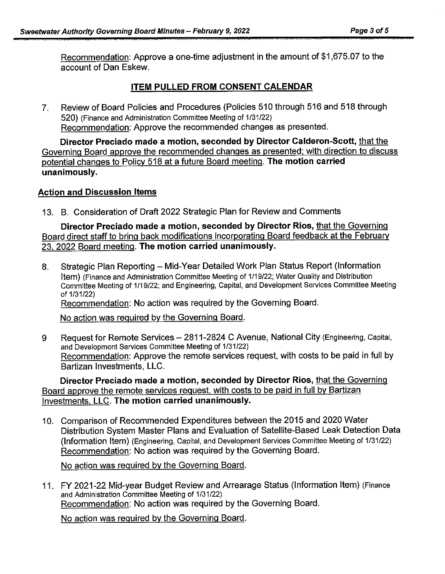Recommendation: Approve a one-time adjustment in the amount of \$1,675.07 to the account of Dan Eskew.

## **ITEM PULLED FROM CONSENT CALENDAR**

7. Review of Board Policies and Procedures (Policies 510 through 516 and 518 through 520) (Finance and Administration Committee Meeting of 1/31/22) Recommendation: Approve the recommended changes as presented.

**Director Preciado made a motion, seconded by Director Calderon-Scott,** that the Governing Board approve the recommended changes as presented: with direction to discuss potential changes to Policy 518 at a future Board meeting. **The motion carried unanimously.** 

#### **Action and Discussion Items**

13. B. Consideration of Draft 2022 Strategic Plan for Review and Comments

**Director Preciado made a motion, seconded by Director Rios,** that the Governing Board direct staff to bring back modifications incorporating Board feedback at the February 23, 2022 Board meeting. **The motion carried unanimously.** 

8. Strategic Plan Reporting - Mid-Year Detailed Work Plan Status Report (Information Item) (Finance and Administration Committee Meeting of 1/19/22; Water Quality and Distribution Committee Meeting of 1/19/22; and Engineering, Capital, and Development Services Committee Meeting of 1/31/22) Recommendation: No action was required by the Governing Board.

No action was required by the Governing Board.

9 Request for Remote Services - 2811-2824 C Avenue, National City (Engineering, Capital, and Development Services Committee Meeting of 1/31/22) Recommendation: Approve the remote services request, with costs to be paid in full by Bartizan Investments, LLC.

**Director Preciado made a motion, seconded by Director Rios,** that the Governing Board approve the remote services request. with costs to be paid in full by Bartizan Investments. LLC. **The motion carried unanimously.** 

1 0. Comparison of Recommended Expenditures between the 2015 and 2020 Water Distribution System Master Plans and Evaluation of Satellite-Based Leak Detection Data (Information Item) (Engineering, Capital, and Development Services Committee Meeting of 1/31/22) Recommendation: No action was required by the Governing Board.

No action was required by the Governing Board.

11. FY 2021-22 Mid-year Budget Review and Arrearage Status (Information Item) (Finance and Administration Committee Meeting of 1/31/22) Recommendation: No action was required by the Governing Board.

No action was required by the Governing Board.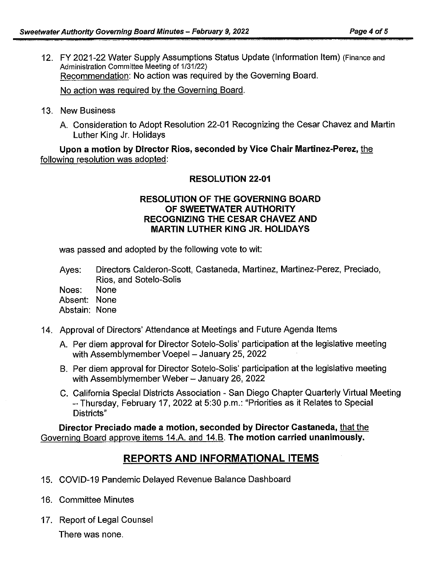12. FY 2021-22 Water Supply Assumptions Status Update (Information Item) (Finance and Administration Committee Meeting of 1/31/22) Recommendation: No action was required by the Governing Board.

No action was required by the Governing Board.

- 13. New Business
	- A. Consideration to Adopt Resolution 22-01 Recognizing the Cesar Chavez and Martin Luther King Jr. Holidays

**Upon a motion by Director Rios, seconded by Vice Chair Martinez-Perez,** the following resolution was adopted:

#### **RESOLUTION 22-01**

#### **RESOLUTION OF THE GOVERNING BOARD OF SWEETWATER AUTHORITY RECOGNIZING THE CESAR CHAVEZ AND MARTIN LUTHER KING JR. HOLIDAYS**

was passed and adopted by the following vote to wit:

Ayes: Directors Calderon-Scott, Castaneda, Martinez, Martinez-Perez, Preciado, Rios, and Sotelo-Solis

Noes: None

Absent: None

Abstain: None

- 14. Approval of Directors' Attendance at Meetings and Future Agenda Items
	- A. Per diem approval for Director Sotelo-Solis' participation at the legislative meeting with Assemblymember Voepel - January 25, 2022
	- B. Per diem approval for Director Sotelo-Solis' participation at the legislative meeting with Assemblymember Weber - January 26, 2022
	- C. California Special Districts Association San Diego Chapter Quarterly Virtual Meeting -Thursday, February 17, 2022 at 5:30 p.m.: "Priorities as it Relates to Special Districts"

**Director Preciado made a motion, seconded by Director Castaneda,** that the Governing Board approve items 14.A. and 14.B. **The motion carried unanimously.** 

# **REPORTS AND INFORMATIONAL ITEMS**

- 15. COVID-19 Pandemic Delayed Revenue Balance Dashboard
- 16. Committee Minutes
- 17. Report of Legal Counsel

There was none.